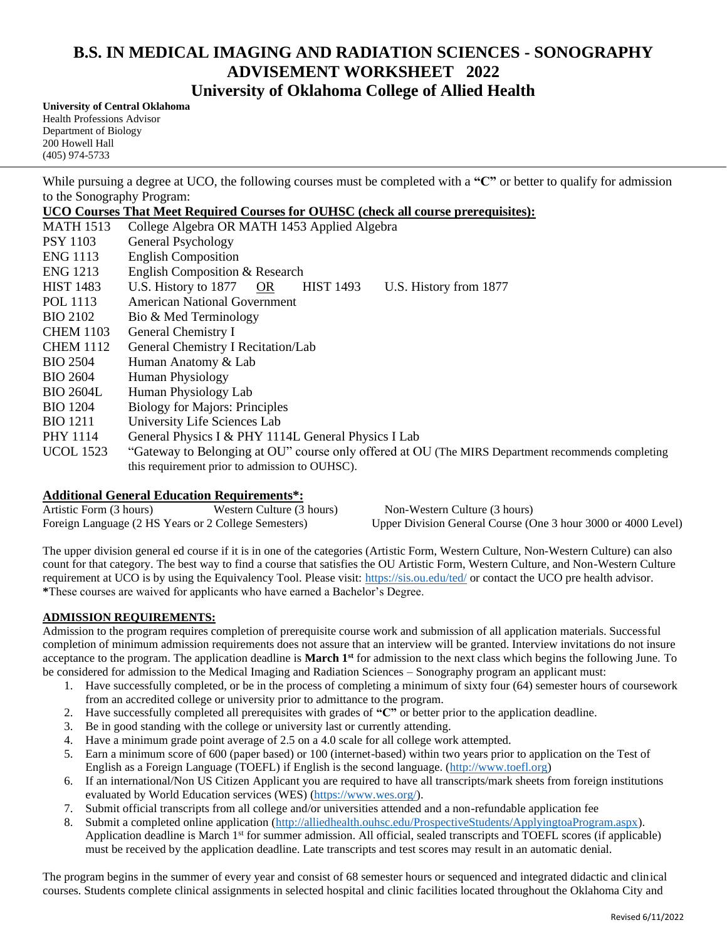# **B.S. IN MEDICAL IMAGING AND RADIATION SCIENCES - SONOGRAPHY ADVISEMENT WORKSHEET 2022 University of Oklahoma College of Allied Health**

**University of Central Oklahoma** Health Professions Advisor Department of Biology 200 Howell Hall (405) 974-5733

While pursuing a degree at UCO, the following courses must be completed with a "C" or better to qualify for admission to the Sonography Program:

**UCO Courses That Meet Required Courses for OUHSC (check all course prerequisites):**

| <b>MATH 1513</b> | College Algebra OR MATH 1453 Applied Algebra                                                      |
|------------------|---------------------------------------------------------------------------------------------------|
| <b>PSY 1103</b>  | General Psychology                                                                                |
| <b>ENG</b> 1113  | <b>English Composition</b>                                                                        |
| <b>ENG</b> 1213  | English Composition & Research                                                                    |
| <b>HIST 1483</b> | U.S. History to 1877 OR<br><b>HIST 1493</b><br>U.S. History from 1877                             |
| POL 1113         | American National Government                                                                      |
| <b>BIO 2102</b>  | Bio & Med Terminology                                                                             |
| <b>CHEM 1103</b> | General Chemistry I                                                                               |
| <b>CHEM 1112</b> | General Chemistry I Recitation/Lab                                                                |
| <b>BIO 2504</b>  | Human Anatomy & Lab                                                                               |
| <b>BIO 2604</b>  | Human Physiology                                                                                  |
| <b>BIO 2604L</b> | Human Physiology Lab                                                                              |
| <b>BIO 1204</b>  | <b>Biology for Majors: Principles</b>                                                             |
| <b>BIO</b> 1211  | University Life Sciences Lab                                                                      |
| PHY 1114         | General Physics I & PHY 1114L General Physics I Lab                                               |
| <b>UCOL</b> 1523 | "Gateway to Belonging at OU" course only offered at OU (The MIRS Department recommends completing |
|                  | this requirement prior to admission to OUHSC).                                                    |

### **Additional General Education Requirements\*:**

Artistic Form (3 hours) Western Culture (3 hours) Non-Western Culture (3 hours) Foreign Language (2 HS Years or 2 College Semesters) Upper Division General Course (One 3 hour 3000 or 4000 Level)

The upper division general ed course if it is in one of the categories (Artistic Form, Western Culture, Non-Western Culture) can also count for that category. The best way to find a course that satisfies the OU Artistic Form, Western Culture, and Non-Western Culture requirement at UCO is by using the Equivalency Tool. Please visit: https://sis.ou.edu/ted/ or contact the UCO pre health advisor. **\***These courses are waived for applicants who have earned a Bachelor's Degree.

### **ADMISSION REQUIREMENTS:**

Admission to the program requires completion of prerequisite course work and submission of all application materials. Successful completion of minimum admission requirements does not assure that an interview will be granted. Interview invitations do not insure acceptance to the program. The application deadline is **March 1st** for admission to the next class which begins the following June. To be considered for admission to the Medical Imaging and Radiation Sciences – Sonography program an applicant must:

- 1. Have successfully completed, or be in the process of completing a minimum of sixty four (64) semester hours of coursework from an accredited college or university prior to admittance to the program.
- 2. Have successfully completed all prerequisites with grades of **"C"** or better prior to the application deadline.
- 3. Be in good standing with the college or university last or currently attending.
- 4. Have a minimum grade point average of 2.5 on a 4.0 scale for all college work attempted.
- 5. Earn a minimum score of 600 (paper based) or 100 (internet-based) within two years prior to application on the Test of English as a Foreign Language (TOEFL) if English is the second language. (http://www.toefl.org)
- 6. If an international/Non US Citizen Applicant you are required to have all transcripts/mark sheets from foreign institutions evaluated by World Education services (WES) (https://www.wes.org/).
- 7. Submit official transcripts from all college and/or universities attended and a non-refundable application fee
- 8. Submit a completed online application (http://alliedhealth.ouhsc.edu/ProspectiveStudents/ApplyingtoaProgram.aspx). Application deadline is March 1<sup>st</sup> for summer admission. All official, sealed transcripts and TOEFL scores (if applicable) must be received by the application deadline. Late transcripts and test scores may result in an automatic denial.

The program begins in the summer of every year and consist of 68 semester hours or sequenced and integrated didactic and clinical courses. Students complete clinical assignments in selected hospital and clinic facilities located throughout the Oklahoma City and